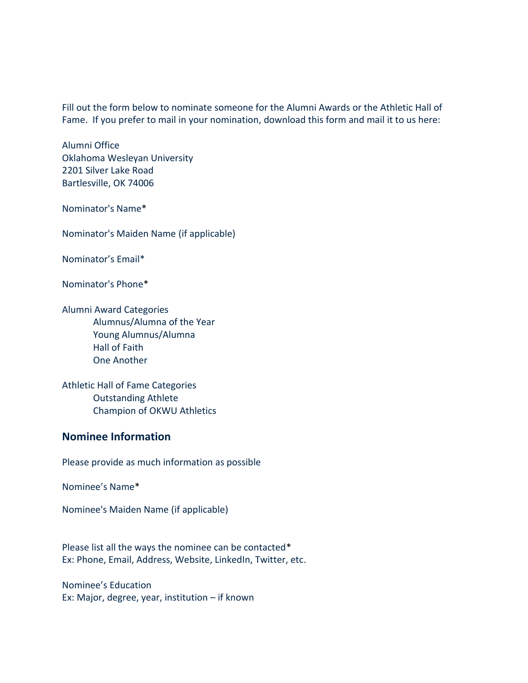Fill out the form below to nominate someone for the Alumni Awards or the Athletic Hall of Fame. If you prefer to mail in your nomination, [download](https://okwu-wpengine.netdna-ssl.com/wp-content/uploads/2021/01/Nomination-form-for-Awards-Inductions-.pdf) this form and mail it to us here:

Alumni Office Oklahoma Wesleyan University 2201 Silver Lake Road Bartlesville, OK 74006

Nominator's Name\*

Nominator's Maiden Name (if applicable)

Nominator's Email\*

Nominator's Phone\*

Alumni Award Categories Alumnus/Alumna of the Year Young Alumnus/Alumna Hall of Faith One Another

Athletic Hall of Fame Categories Outstanding Athlete Champion of OKWU Athletics

## **Nominee Information**

Please provide as much information as possible

Nominee's Name\*

Nominee's Maiden Name (if applicable)

Please list all the ways the nominee can be contacted\* Ex: Phone, Email, Address, Website, LinkedIn, Twitter, etc.

Nominee's Education Ex: Major, degree, year, institution – if known